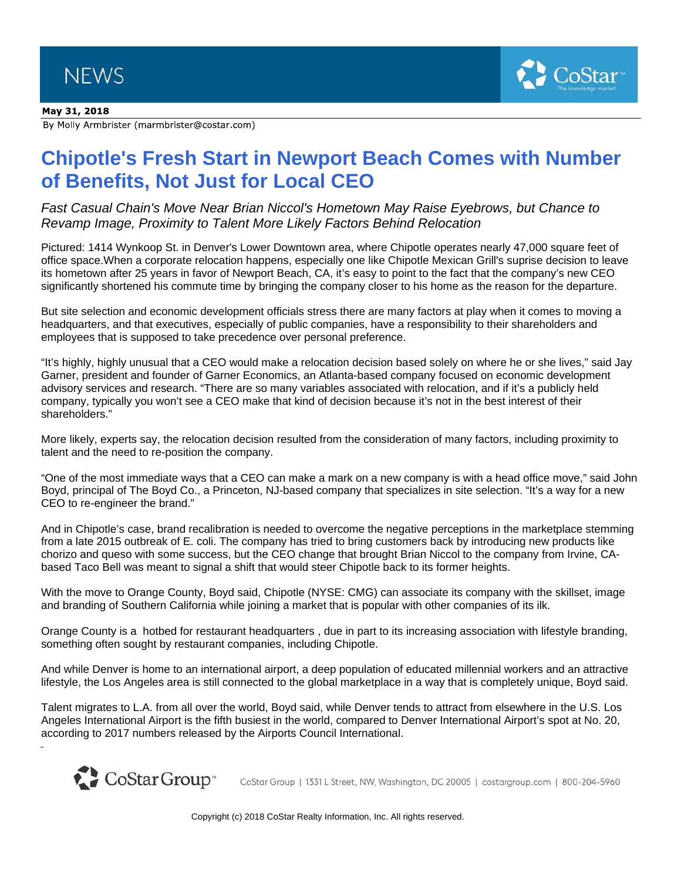## May 31, 2018

By Molly Armbrister (marmbrister@costar.com)

## **Chipotle's Fresh Start in Newport Beach Comes with Number of Benefits, Not Just for Local CEO**

 $C<sub>OS</sub>tar<sup>2</sup>$ 

*Fast Casual Chain's Move Near Brian Niccol's Hometown May Raise Eyebrows, but Chance to Revamp Image, Proximity to Talent More Likely Factors Behind Relocation*

Pictured: 1414 Wynkoop St. in Denver's Lower Downtown area, where Chipotle operates nearly 47,000 square feet of office space.When a corporate relocation happens, especially one like Chipotle Mexican Grill's suprise decision to leave its hometown after 25 years in favor of Newport Beach, CA, it's easy to point to the fact that the company's new CEO significantly shortened his commute time by bringing the company closer to his home as the reason for the departure.

But site selection and economic development officials stress there are many factors at play when it comes to moving a headquarters, and that executives, especially of public companies, have a responsibility to their shareholders and employees that is supposed to take precedence over personal preference.

"It's highly, highly unusual that a CEO would make a relocation decision based solely on where he or she lives," said Jay Garner, president and founder of Garner Economics, an Atlanta-based company focused on economic development advisory services and research. "There are so many variables associated with relocation, and if it's a publicly held company, typically you won't see a CEO make that kind of decision because it's not in the best interest of their shareholders."

More likely, experts say, the relocation decision resulted from the consideration of many factors, including proximity to talent and the need to re-position the company.

"One of the most immediate ways that a CEO can make a mark on a new company is with a head office move," said John Boyd, principal of The Boyd Co., a Princeton, NJ-based company that specializes in site selection. "It's a way for a new CEO to re-engineer the brand."

And in Chipotle's case, brand recalibration is needed to overcome the negative perceptions in the marketplace stemming from a late 2015 outbreak of E. coli. The company has tried to bring customers back by introducing new products like chorizo and queso with some success, but the CEO change that brought Brian Niccol to the company from Irvine, CAbased Taco Bell was meant to signal a shift that would steer Chipotle back to its former heights.

With the move to Orange County, Boyd said, Chipotle (NYSE: CMG) can associate its company with the skillset, image and branding of Southern California while joining a market that is popular with other companies of its ilk.

Orange County is a hotbed for restaurant headquarters , due in part to its increasing association with lifestyle branding, something often sought by restaurant companies, including Chipotle.

And while Denver is home to an international airport, a deep population of educated millennial workers and an attractive lifestyle, the Los Angeles area is still connected to the global marketplace in a way that is completely unique, Boyd said.

Talent migrates to L.A. from all over the world, Boyd said, while Denver tends to attract from elsewhere in the U.S. Los Angeles International Airport is the fifth busiest in the world, compared to Denver International Airport's spot at No. 20, according to 2017 numbers released by the Airports Council International.



CoStar Group | 1331 L Street, NW, Washington, DC 20005 | costargroup.com | 800-204-5960

Copyright (c) 2018 CoStar Realty Information, Inc. All rights reserved.